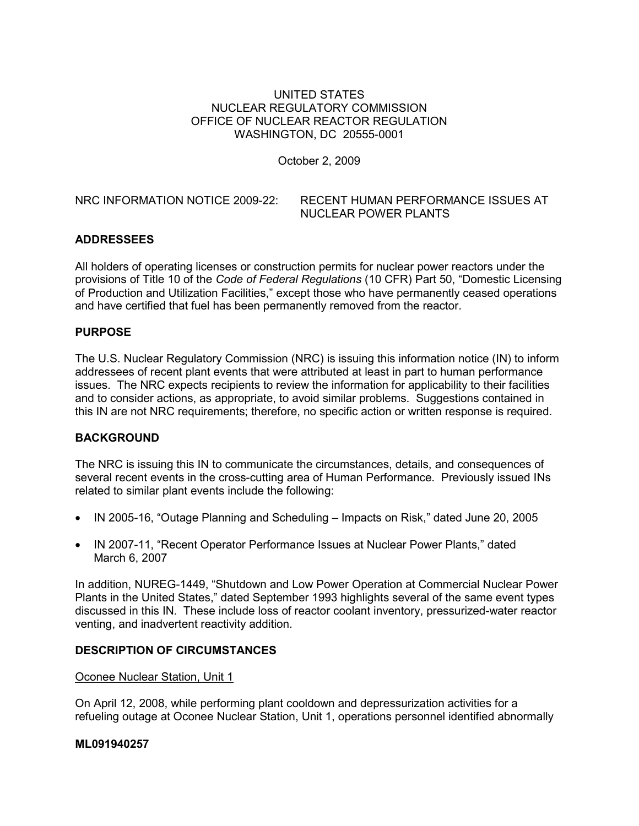### UNITED STATES NUCLEAR REGULATORY COMMISSION OFFICE OF NUCLEAR REACTOR REGULATION WASHINGTON, DC 20555-0001

October 2, 2009

NRC INFORMATION NOTICE 2009-22: RECENT HUMAN PERFORMANCE ISSUES AT NUCLEAR POWER PLANTS

# **ADDRESSEES**

All holders of operating licenses or construction permits for nuclear power reactors under the provisions of Title 10 of the *Code of Federal Regulations* (10 CFR) Part 50, "Domestic Licensing of Production and Utilization Facilities," except those who have permanently ceased operations and have certified that fuel has been permanently removed from the reactor.

### **PURPOSE**

The U.S. Nuclear Regulatory Commission (NRC) is issuing this information notice (IN) to inform addressees of recent plant events that were attributed at least in part to human performance issues. The NRC expects recipients to review the information for applicability to their facilities and to consider actions, as appropriate, to avoid similar problems. Suggestions contained in this IN are not NRC requirements; therefore, no specific action or written response is required.

#### **BACKGROUND**

The NRC is issuing this IN to communicate the circumstances, details, and consequences of several recent events in the cross-cutting area of Human Performance. Previously issued INs related to similar plant events include the following:

- IN 2005-16, "Outage Planning and Scheduling Impacts on Risk," dated June 20, 2005
- IN 2007-11, "Recent Operator Performance Issues at Nuclear Power Plants," dated March 6, 2007

In addition, NUREG-1449, "Shutdown and Low Power Operation at Commercial Nuclear Power Plants in the United States," dated September 1993 highlights several of the same event types discussed in this IN. These include loss of reactor coolant inventory, pressurized-water reactor venting, and inadvertent reactivity addition.

#### **DESCRIPTION OF CIRCUMSTANCES**

#### Oconee Nuclear Station, Unit 1

On April 12, 2008, while performing plant cooldown and depressurization activities for a refueling outage at Oconee Nuclear Station, Unit 1, operations personnel identified abnormally

#### **ML091940257**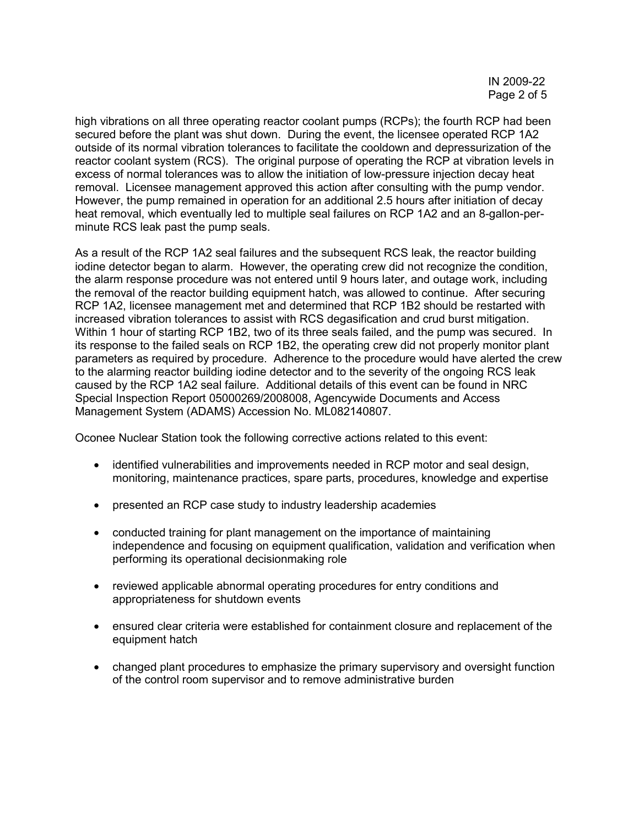high vibrations on all three operating reactor coolant pumps (RCPs); the fourth RCP had been secured before the plant was shut down. During the event, the licensee operated RCP 1A2 outside of its normal vibration tolerances to facilitate the cooldown and depressurization of the reactor coolant system (RCS). The original purpose of operating the RCP at vibration levels in excess of normal tolerances was to allow the initiation of low-pressure injection decay heat removal. Licensee management approved this action after consulting with the pump vendor. However, the pump remained in operation for an additional 2.5 hours after initiation of decay heat removal, which eventually led to multiple seal failures on RCP 1A2 and an 8-gallon-perminute RCS leak past the pump seals.

As a result of the RCP 1A2 seal failures and the subsequent RCS leak, the reactor building iodine detector began to alarm. However, the operating crew did not recognize the condition, the alarm response procedure was not entered until 9 hours later, and outage work, including the removal of the reactor building equipment hatch, was allowed to continue. After securing RCP 1A2, licensee management met and determined that RCP 1B2 should be restarted with increased vibration tolerances to assist with RCS degasification and crud burst mitigation. Within 1 hour of starting RCP 1B2, two of its three seals failed, and the pump was secured. In its response to the failed seals on RCP 1B2, the operating crew did not properly monitor plant parameters as required by procedure. Adherence to the procedure would have alerted the crew to the alarming reactor building iodine detector and to the severity of the ongoing RCS leak caused by the RCP 1A2 seal failure. Additional details of this event can be found in NRC Special Inspection Report 05000269/2008008, Agencywide Documents and Access Management System (ADAMS) Accession No. ML082140807.

Oconee Nuclear Station took the following corrective actions related to this event:

- identified vulnerabilities and improvements needed in RCP motor and seal design, monitoring, maintenance practices, spare parts, procedures, knowledge and expertise
- presented an RCP case study to industry leadership academies
- conducted training for plant management on the importance of maintaining independence and focusing on equipment qualification, validation and verification when performing its operational decisionmaking role
- reviewed applicable abnormal operating procedures for entry conditions and appropriateness for shutdown events
- ensured clear criteria were established for containment closure and replacement of the equipment hatch
- changed plant procedures to emphasize the primary supervisory and oversight function of the control room supervisor and to remove administrative burden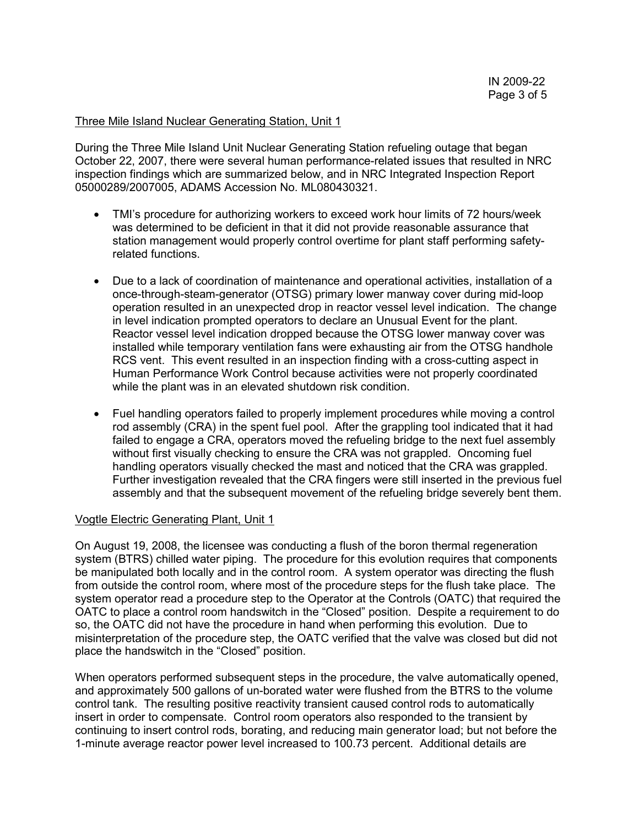#### Three Mile Island Nuclear Generating Station, Unit 1

During the Three Mile Island Unit Nuclear Generating Station refueling outage that began October 22, 2007, there were several human performance-related issues that resulted in NRC inspection findings which are summarized below, and in NRC Integrated Inspection Report 05000289/2007005, ADAMS Accession No. ML080430321.

- TMI's procedure for authorizing workers to exceed work hour limits of 72 hours/week was determined to be deficient in that it did not provide reasonable assurance that station management would properly control overtime for plant staff performing safetyrelated functions.
- Due to a lack of coordination of maintenance and operational activities, installation of a once-through-steam-generator (OTSG) primary lower manway cover during mid-loop operation resulted in an unexpected drop in reactor vessel level indication. The change in level indication prompted operators to declare an Unusual Event for the plant. Reactor vessel level indication dropped because the OTSG lower manway cover was installed while temporary ventilation fans were exhausting air from the OTSG handhole RCS vent. This event resulted in an inspection finding with a cross-cutting aspect in Human Performance Work Control because activities were not properly coordinated while the plant was in an elevated shutdown risk condition.
- Fuel handling operators failed to properly implement procedures while moving a control rod assembly (CRA) in the spent fuel pool. After the grappling tool indicated that it had failed to engage a CRA, operators moved the refueling bridge to the next fuel assembly without first visually checking to ensure the CRA was not grappled. Oncoming fuel handling operators visually checked the mast and noticed that the CRA was grappled. Further investigation revealed that the CRA fingers were still inserted in the previous fuel assembly and that the subsequent movement of the refueling bridge severely bent them.

#### Vogtle Electric Generating Plant, Unit 1

On August 19, 2008, the licensee was conducting a flush of the boron thermal regeneration system (BTRS) chilled water piping. The procedure for this evolution requires that components be manipulated both locally and in the control room. A system operator was directing the flush from outside the control room, where most of the procedure steps for the flush take place. The system operator read a procedure step to the Operator at the Controls (OATC) that required the OATC to place a control room handswitch in the "Closed" position. Despite a requirement to do so, the OATC did not have the procedure in hand when performing this evolution. Due to misinterpretation of the procedure step, the OATC verified that the valve was closed but did not place the handswitch in the "Closed" position.

When operators performed subsequent steps in the procedure, the valve automatically opened, and approximately 500 gallons of un-borated water were flushed from the BTRS to the volume control tank. The resulting positive reactivity transient caused control rods to automatically insert in order to compensate. Control room operators also responded to the transient by continuing to insert control rods, borating, and reducing main generator load; but not before the 1-minute average reactor power level increased to 100.73 percent. Additional details are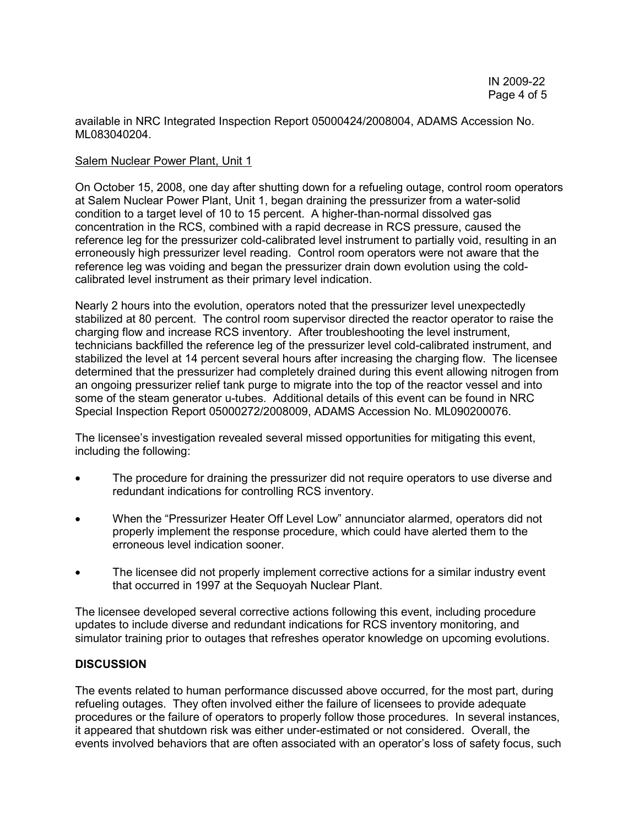available in NRC Integrated Inspection Report 05000424/2008004, ADAMS Accession No. ML083040204.

### Salem Nuclear Power Plant, Unit 1

On October 15, 2008, one day after shutting down for a refueling outage, control room operators at Salem Nuclear Power Plant, Unit 1, began draining the pressurizer from a water-solid condition to a target level of 10 to 15 percent. A higher-than-normal dissolved gas concentration in the RCS, combined with a rapid decrease in RCS pressure, caused the reference leg for the pressurizer cold-calibrated level instrument to partially void, resulting in an erroneously high pressurizer level reading. Control room operators were not aware that the reference leg was voiding and began the pressurizer drain down evolution using the coldcalibrated level instrument as their primary level indication.

Nearly 2 hours into the evolution, operators noted that the pressurizer level unexpectedly stabilized at 80 percent. The control room supervisor directed the reactor operator to raise the charging flow and increase RCS inventory. After troubleshooting the level instrument, technicians backfilled the reference leg of the pressurizer level cold-calibrated instrument, and stabilized the level at 14 percent several hours after increasing the charging flow. The licensee determined that the pressurizer had completely drained during this event allowing nitrogen from an ongoing pressurizer relief tank purge to migrate into the top of the reactor vessel and into some of the steam generator u-tubes. Additional details of this event can be found in NRC Special Inspection Report 05000272/2008009, ADAMS Accession No. ML090200076.

The licensee's investigation revealed several missed opportunities for mitigating this event, including the following:

- The procedure for draining the pressurizer did not require operators to use diverse and redundant indications for controlling RCS inventory.
- When the "Pressurizer Heater Off Level Low" annunciator alarmed, operators did not properly implement the response procedure, which could have alerted them to the erroneous level indication sooner.
- The licensee did not properly implement corrective actions for a similar industry event that occurred in 1997 at the Sequoyah Nuclear Plant.

The licensee developed several corrective actions following this event, including procedure updates to include diverse and redundant indications for RCS inventory monitoring, and simulator training prior to outages that refreshes operator knowledge on upcoming evolutions.

# **DISCUSSION**

The events related to human performance discussed above occurred, for the most part, during refueling outages. They often involved either the failure of licensees to provide adequate procedures or the failure of operators to properly follow those procedures. In several instances, it appeared that shutdown risk was either under-estimated or not considered. Overall, the events involved behaviors that are often associated with an operator's loss of safety focus, such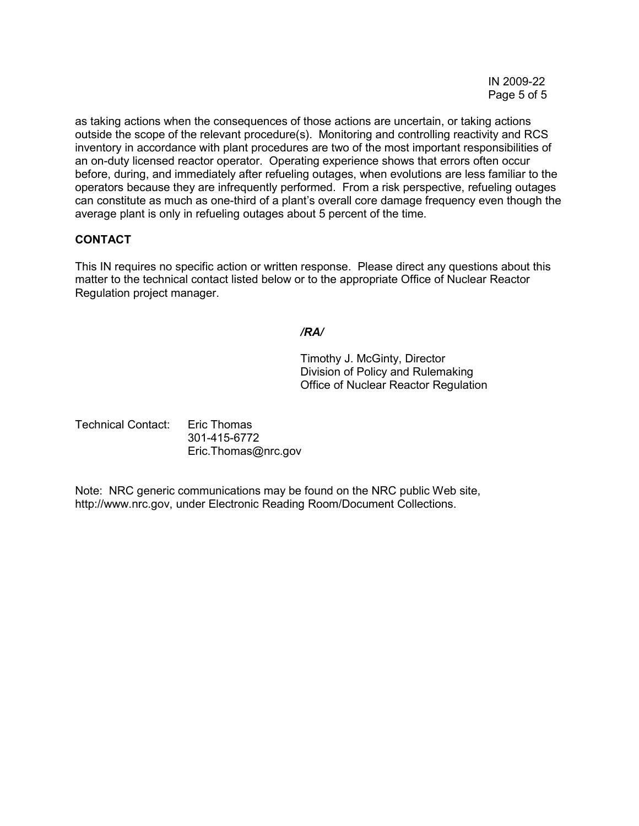as taking actions when the consequences of those actions are uncertain, or taking actions outside the scope of the relevant procedure(s). Monitoring and controlling reactivity and RCS inventory in accordance with plant procedures are two of the most important responsibilities of an on-duty licensed reactor operator. Operating experience shows that errors often occur before, during, and immediately after refueling outages, when evolutions are less familiar to the operators because they are infrequently performed. From a risk perspective, refueling outages can constitute as much as one-third of a plant's overall core damage frequency even though the average plant is only in refueling outages about 5 percent of the time.

# **CONTACT**

This IN requires no specific action or written response. Please direct any questions about this matter to the technical contact listed below or to the appropriate Office of Nuclear Reactor Regulation project manager.

### */RA/*

Timothy J. McGinty, Director Division of Policy and Rulemaking Office of Nuclear Reactor Regulation

Technical Contact: Eric Thomas 301-415-6772 Eric.Thomas@nrc.gov

Note: NRC generic communications may be found on the NRC public Web site, http://www.nrc.gov, under Electronic Reading Room/Document Collections.